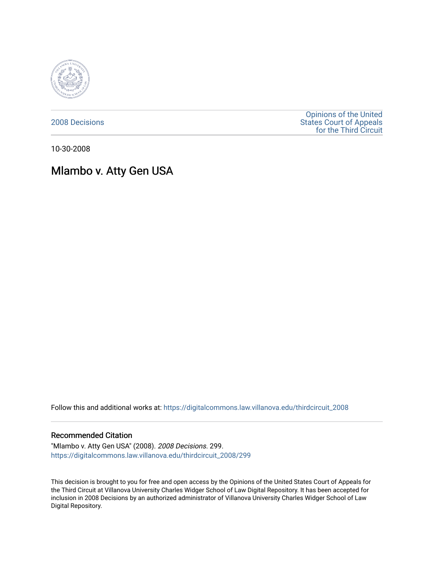

[2008 Decisions](https://digitalcommons.law.villanova.edu/thirdcircuit_2008)

[Opinions of the United](https://digitalcommons.law.villanova.edu/thirdcircuit)  [States Court of Appeals](https://digitalcommons.law.villanova.edu/thirdcircuit)  [for the Third Circuit](https://digitalcommons.law.villanova.edu/thirdcircuit) 

10-30-2008

# Mlambo v. Atty Gen USA

Follow this and additional works at: [https://digitalcommons.law.villanova.edu/thirdcircuit\\_2008](https://digitalcommons.law.villanova.edu/thirdcircuit_2008?utm_source=digitalcommons.law.villanova.edu%2Fthirdcircuit_2008%2F299&utm_medium=PDF&utm_campaign=PDFCoverPages) 

#### Recommended Citation

"Mlambo v. Atty Gen USA" (2008). 2008 Decisions. 299. [https://digitalcommons.law.villanova.edu/thirdcircuit\\_2008/299](https://digitalcommons.law.villanova.edu/thirdcircuit_2008/299?utm_source=digitalcommons.law.villanova.edu%2Fthirdcircuit_2008%2F299&utm_medium=PDF&utm_campaign=PDFCoverPages)

This decision is brought to you for free and open access by the Opinions of the United States Court of Appeals for the Third Circuit at Villanova University Charles Widger School of Law Digital Repository. It has been accepted for inclusion in 2008 Decisions by an authorized administrator of Villanova University Charles Widger School of Law Digital Repository.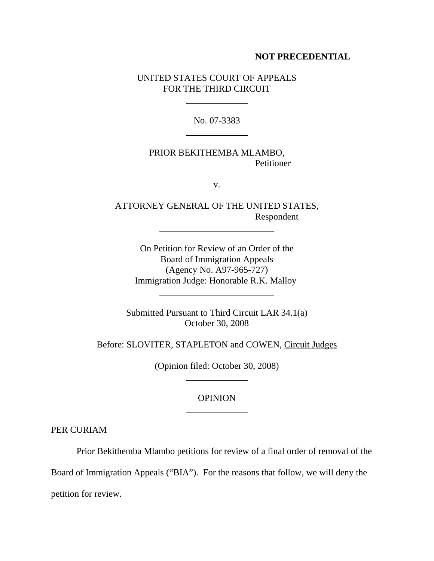#### **NOT PRECEDENTIAL**

## UNITED STATES COURT OF APPEALS FOR THE THIRD CIRCUIT

 $\overline{a}$ 

 $\overline{a}$ 

l

 $\overline{a}$ 

No. 07-3383

## PRIOR BEKITHEMBA MLAMBO, Petitioner

v.

ATTORNEY GENERAL OF THE UNITED STATES, Respondent

On Petition for Review of an Order of the Board of Immigration Appeals (Agency No. A97-965-727) Immigration Judge: Honorable R.K. Malloy

Submitted Pursuant to Third Circuit LAR 34.1(a) October 30, 2008

Before: SLOVITER, STAPLETON and COWEN, Circuit Judges

(Opinion filed: October 30, 2008)

 $\overline{a}$ 

 $\overline{a}$ 

### OPINION

PER CURIAM

Prior Bekithemba Mlambo petitions for review of a final order of removal of the

Board of Immigration Appeals ("BIA"). For the reasons that follow, we will deny the

petition for review.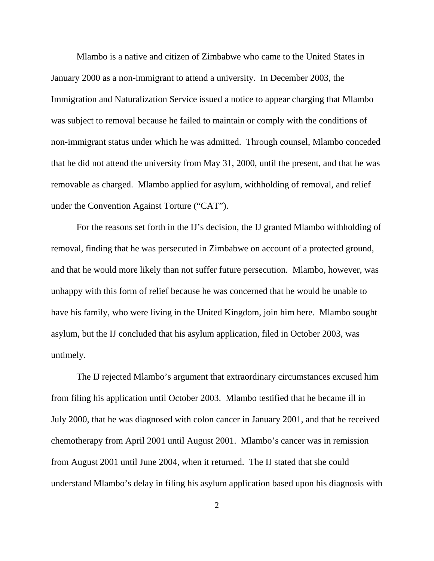Mlambo is a native and citizen of Zimbabwe who came to the United States in January 2000 as a non-immigrant to attend a university. In December 2003, the Immigration and Naturalization Service issued a notice to appear charging that Mlambo was subject to removal because he failed to maintain or comply with the conditions of non-immigrant status under which he was admitted. Through counsel, Mlambo conceded that he did not attend the university from May 31, 2000, until the present, and that he was removable as charged. Mlambo applied for asylum, withholding of removal, and relief under the Convention Against Torture ("CAT").

For the reasons set forth in the IJ's decision, the IJ granted Mlambo withholding of removal, finding that he was persecuted in Zimbabwe on account of a protected ground, and that he would more likely than not suffer future persecution. Mlambo, however, was unhappy with this form of relief because he was concerned that he would be unable to have his family, who were living in the United Kingdom, join him here. Mlambo sought asylum, but the IJ concluded that his asylum application, filed in October 2003, was untimely.

The IJ rejected Mlambo's argument that extraordinary circumstances excused him from filing his application until October 2003. Mlambo testified that he became ill in July 2000, that he was diagnosed with colon cancer in January 2001, and that he received chemotherapy from April 2001 until August 2001. Mlambo's cancer was in remission from August 2001 until June 2004, when it returned. The IJ stated that she could understand Mlambo's delay in filing his asylum application based upon his diagnosis with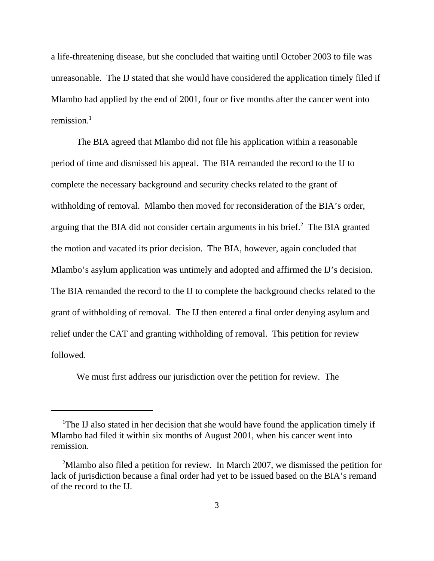a life-threatening disease, but she concluded that waiting until October 2003 to file was unreasonable. The IJ stated that she would have considered the application timely filed if Mlambo had applied by the end of 2001, four or five months after the cancer went into remission. $<sup>1</sup>$ </sup>

The BIA agreed that Mlambo did not file his application within a reasonable period of time and dismissed his appeal. The BIA remanded the record to the IJ to complete the necessary background and security checks related to the grant of withholding of removal. Mlambo then moved for reconsideration of the BIA's order, arguing that the BIA did not consider certain arguments in his brief. $2$  The BIA granted the motion and vacated its prior decision. The BIA, however, again concluded that Mlambo's asylum application was untimely and adopted and affirmed the IJ's decision. The BIA remanded the record to the IJ to complete the background checks related to the grant of withholding of removal. The IJ then entered a final order denying asylum and relief under the CAT and granting withholding of removal. This petition for review followed.

We must first address our jurisdiction over the petition for review. The

<sup>&</sup>lt;sup>1</sup>The IJ also stated in her decision that she would have found the application timely if Mlambo had filed it within six months of August 2001, when his cancer went into remission.

<sup>&</sup>lt;sup>2</sup>Mlambo also filed a petition for review. In March 2007, we dismissed the petition for lack of jurisdiction because a final order had yet to be issued based on the BIA's remand of the record to the IJ.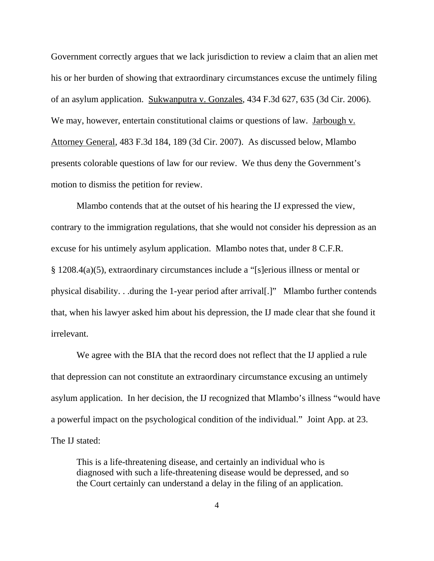Government correctly argues that we lack jurisdiction to review a claim that an alien met his or her burden of showing that extraordinary circumstances excuse the untimely filing of an asylum application. Sukwanputra v. Gonzales, 434 F.3d 627, 635 (3d Cir. 2006). We may, however, entertain constitutional claims or questions of law. Jarbough v. Attorney General, 483 F.3d 184, 189 (3d Cir. 2007). As discussed below, Mlambo presents colorable questions of law for our review. We thus deny the Government's motion to dismiss the petition for review.

Mlambo contends that at the outset of his hearing the IJ expressed the view, contrary to the immigration regulations, that she would not consider his depression as an excuse for his untimely asylum application. Mlambo notes that, under 8 C.F.R. § 1208.4(a)(5), extraordinary circumstances include a "[s]erious illness or mental or physical disability. . .during the 1-year period after arrival[.]" Mlambo further contends that, when his lawyer asked him about his depression, the IJ made clear that she found it irrelevant.

We agree with the BIA that the record does not reflect that the IJ applied a rule that depression can not constitute an extraordinary circumstance excusing an untimely asylum application. In her decision, the IJ recognized that Mlambo's illness "would have a powerful impact on the psychological condition of the individual." Joint App. at 23. The IJ stated:

This is a life-threatening disease, and certainly an individual who is diagnosed with such a life-threatening disease would be depressed, and so the Court certainly can understand a delay in the filing of an application.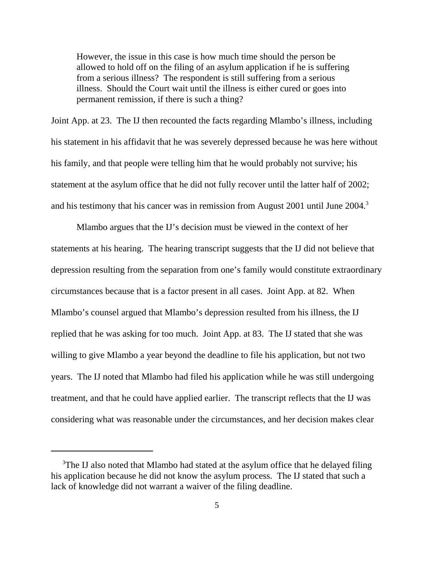However, the issue in this case is how much time should the person be allowed to hold off on the filing of an asylum application if he is suffering from a serious illness? The respondent is still suffering from a serious illness. Should the Court wait until the illness is either cured or goes into permanent remission, if there is such a thing?

Joint App. at 23. The IJ then recounted the facts regarding Mlambo's illness, including his statement in his affidavit that he was severely depressed because he was here without his family, and that people were telling him that he would probably not survive; his statement at the asylum office that he did not fully recover until the latter half of 2002; and his testimony that his cancer was in remission from August 2001 until June 2004.3

Mlambo argues that the IJ's decision must be viewed in the context of her statements at his hearing. The hearing transcript suggests that the IJ did not believe that depression resulting from the separation from one's family would constitute extraordinary circumstances because that is a factor present in all cases. Joint App. at 82. When Mlambo's counsel argued that Mlambo's depression resulted from his illness, the IJ replied that he was asking for too much. Joint App. at 83. The IJ stated that she was willing to give Mlambo a year beyond the deadline to file his application, but not two years. The IJ noted that Mlambo had filed his application while he was still undergoing treatment, and that he could have applied earlier. The transcript reflects that the IJ was considering what was reasonable under the circumstances, and her decision makes clear

<sup>&</sup>lt;sup>3</sup>The IJ also noted that Mlambo had stated at the asylum office that he delayed filing his application because he did not know the asylum process. The IJ stated that such a lack of knowledge did not warrant a waiver of the filing deadline.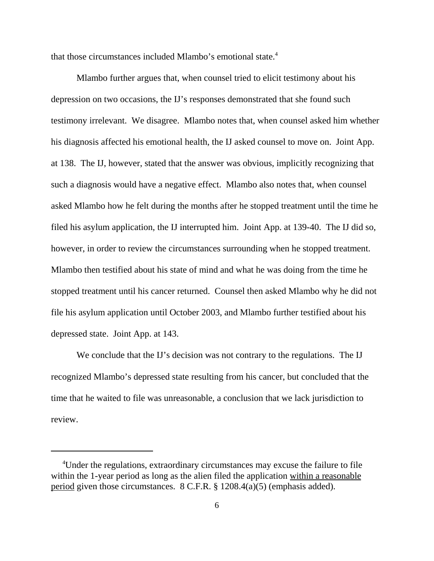that those circumstances included Mlambo's emotional state.<sup>4</sup>

Mlambo further argues that, when counsel tried to elicit testimony about his depression on two occasions, the IJ's responses demonstrated that she found such testimony irrelevant. We disagree. Mlambo notes that, when counsel asked him whether his diagnosis affected his emotional health, the IJ asked counsel to move on. Joint App. at 138. The IJ, however, stated that the answer was obvious, implicitly recognizing that such a diagnosis would have a negative effect. Mlambo also notes that, when counsel asked Mlambo how he felt during the months after he stopped treatment until the time he filed his asylum application, the IJ interrupted him. Joint App. at 139-40. The IJ did so, however, in order to review the circumstances surrounding when he stopped treatment. Mlambo then testified about his state of mind and what he was doing from the time he stopped treatment until his cancer returned. Counsel then asked Mlambo why he did not file his asylum application until October 2003, and Mlambo further testified about his depressed state. Joint App. at 143.

We conclude that the IJ's decision was not contrary to the regulations. The IJ recognized Mlambo's depressed state resulting from his cancer, but concluded that the time that he waited to file was unreasonable, a conclusion that we lack jurisdiction to review.

<sup>&</sup>lt;sup>4</sup>Under the regulations, extraordinary circumstances may excuse the failure to file within the 1-year period as long as the alien filed the application within a reasonable period given those circumstances.  $8 \text{ C.F.R.}$   $\frac{8}{1208.4(a)(5)}$  (emphasis added).